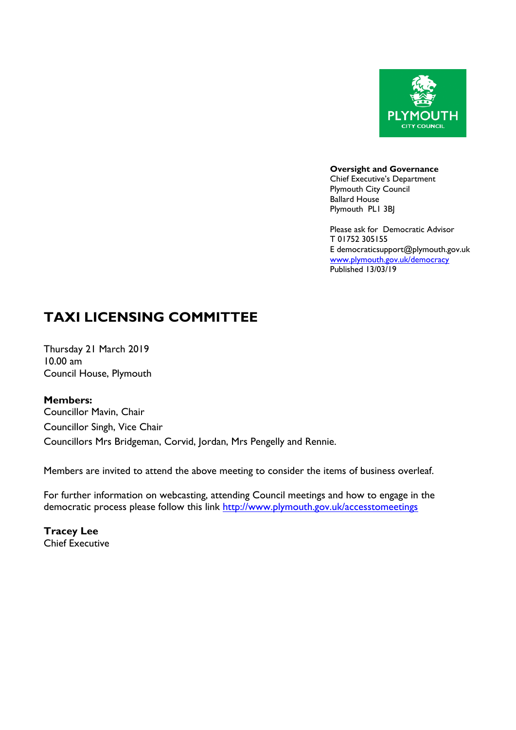

**Oversight and Governance** Chief Executive's Department

Plymouth City Council Ballard House Plymouth PL1 3BJ

Please ask for Democratic Advisor T 01752 305155 E democraticsupport@plymouth.gov.uk [www.plymouth.gov.uk](http://www.plymouth.gov.uk/)/democracy Published 13/03/19

# **TAXI LICENSING COMMITTEE**

Thursday 21 March 2019 10.00 am Council House, Plymouth

## **Members:**

Councillor Mavin, Chair Councillor Singh, Vice Chair Councillors Mrs Bridgeman, Corvid, Jordan, Mrs Pengelly and Rennie.

Members are invited to attend the above meeting to consider the items of business overleaf.

For further information on webcasting, attending Council meetings and how to engage in the democratic process please follow this link <http://www.plymouth.gov.uk/accesstomeetings>

**Tracey Lee** Chief Executive